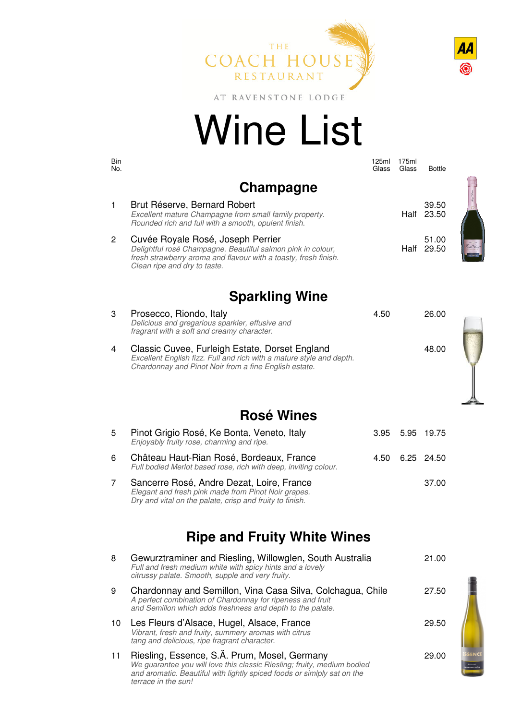



AT RAVENSTONE LODGE

# Wine List

| Bin<br>No. |                                                                                                                                                                                                     | 125ml<br>Glass | 175ml<br>Glass | <b>Bottle</b>  |  |
|------------|-----------------------------------------------------------------------------------------------------------------------------------------------------------------------------------------------------|----------------|----------------|----------------|--|
|            | Champagne                                                                                                                                                                                           |                |                |                |  |
| 1          | Brut Réserve, Bernard Robert<br>Excellent mature Champagne from small family property.<br>Rounded rich and full with a smooth, opulent finish.                                                      |                | Half           | 39.50<br>23.50 |  |
| 2          | Cuvée Royale Rosé, Joseph Perrier<br>Delightful rosé Champagne. Beautiful salmon pink in colour,<br>fresh strawberry aroma and flavour with a toasty, fresh finish.<br>Clean ripe and dry to taste. |                | Half           | 51.00<br>29.50 |  |
|            | <b>Sparkling Wine</b>                                                                                                                                                                               |                |                |                |  |
| 3          | Prosecco, Riondo, Italy<br>Delicious and gregarious sparkler, effusive and<br>fragrant with a soft and creamy character.                                                                            | 4.50           |                | 26.00          |  |
| 4          | Classic Cuvee, Furleigh Estate, Dorset England<br>Excellent English fizz. Full and rich with a mature style and depth.<br>Chardonnay and Pinot Noir from a fine English estate.                     |                |                | 48.00          |  |
|            |                                                                                                                                                                                                     |                |                |                |  |
|            | Rosé Wines                                                                                                                                                                                          |                |                |                |  |

#### **Rosé Wines**

| 5 | Pinot Grigio Rosé, Ke Bonta, Veneto, Italy<br>Enjoyably fruity rose, charming and ripe.                                                                      |      | 3.95 5.95 19.75 |
|---|--------------------------------------------------------------------------------------------------------------------------------------------------------------|------|-----------------|
| 6 | Château Haut-Rian Rosé, Bordeaux, France<br>Full bodied Merlot based rose, rich with deep, inviting colour.                                                  | 4.50 | 6.25 24.50      |
|   | Sancerre Rosé, Andre Dezat, Loire, France<br>Elegant and fresh pink made from Pinot Noir grapes.<br>Dry and vital on the palate, crisp and fruity to finish. |      | 37.00           |

## **Ripe and Fruity White Wines**

| 8  | Gewurztraminer and Riesling, Willowglen, South Australia<br>Full and fresh medium white with spicy hints and a lovely<br>citrussy palate. Smooth, supple and very fruity.                                                 | 21.00 |
|----|---------------------------------------------------------------------------------------------------------------------------------------------------------------------------------------------------------------------------|-------|
| 9  | Chardonnay and Semillon, Vina Casa Silva, Colchagua, Chile<br>A perfect combination of Chardonnay for ripeness and fruit<br>and Semillon which adds freshness and depth to the palate.                                    | 27.50 |
| 10 | Les Fleurs d'Alsace, Hugel, Alsace, France<br>Vibrant, fresh and fruity, summery aromas with citrus<br>tang and delicious, ripe fragrant character.                                                                       | 29.50 |
| 11 | Riesling, Essence, S.Ä. Prum, Mosel, Germany<br>We guarantee you will love this classic Riesling; fruity, medium bodied<br>and aromatic. Beautiful with lightly spiced foods or simiply sat on the<br>terrace in the sun! | 29.00 |

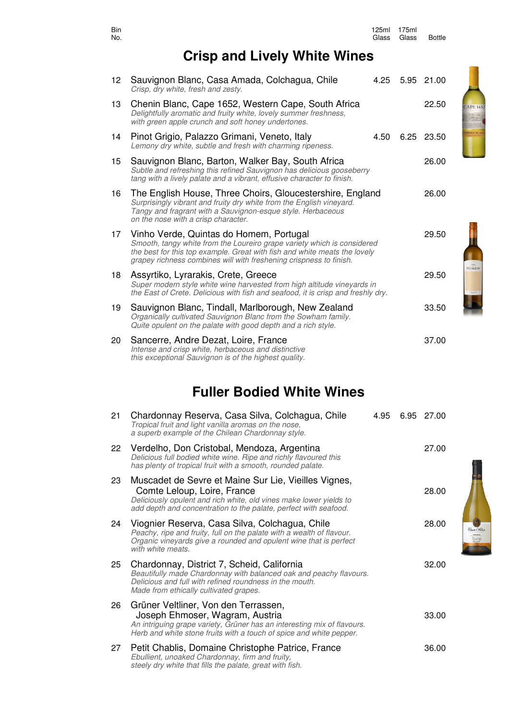| No.              |                                                                                                                                                                                                                                                                       | Glass | Glass | <b>Bottle</b> |                   |
|------------------|-----------------------------------------------------------------------------------------------------------------------------------------------------------------------------------------------------------------------------------------------------------------------|-------|-------|---------------|-------------------|
|                  | <b>Crisp and Lively White Wines</b>                                                                                                                                                                                                                                   |       |       |               |                   |
| 12 <sub>2</sub>  | Sauvignon Blanc, Casa Amada, Colchagua, Chile<br>Crisp, dry white, fresh and zesty.                                                                                                                                                                                   | 4.25  |       | 5.95 21.00    |                   |
| 13               | Chenin Blanc, Cape 1652, Western Cape, South Africa<br>Delightfully aromatic and fruity white, lovely summer freshness,<br>with green apple crunch and soft honey undertones.                                                                                         |       |       | 22.50         | <b>CAPE 1652</b>  |
| 14               | Pinot Grigio, Palazzo Grimani, Veneto, Italy<br>Lemony dry white, subtle and fresh with charming ripeness.                                                                                                                                                            | 4.50  |       | 6.25 23.50    | <b>HENIN BLAN</b> |
| 15               | Sauvignon Blanc, Barton, Walker Bay, South Africa<br>Subtle and refreshing this refined Sauvignon has delicious gooseberry<br>tang with a lively palate and a vibrant, effusive character to finish.                                                                  |       |       | 26.00         |                   |
| 16               | The English House, Three Choirs, Gloucestershire, England<br>Surprisingly vibrant and fruity dry white from the English vineyard.<br>Tangy and fragrant with a Sauvignon-esque style. Herbaceous<br>on the nose with a crisp character.                               |       |       | 26.00         |                   |
| 17 <sup>17</sup> | Vinho Verde, Quintas do Homem, Portugal<br>Smooth, tangy white from the Loureiro grape variety which is considered<br>the best for this top example. Great with fish and white meats the lovely<br>grapey richness combines will with freshening crispness to finish. |       |       | 29.50         |                   |
| 18               | Assyrtiko, Lyrarakis, Crete, Greece<br>Super modern style white wine harvested from high altitude vineyards in<br>the East of Crete. Delicious with fish and seafood, it is crisp and freshly dry.                                                                    |       |       | 29.50         | <b>HOMEM</b>      |
| 19               | Sauvignon Blanc, Tindall, Marlborough, New Zealand<br>Organically cultivated Sauvignon Blanc from the Sowham family.<br>Quite opulent on the palate with good depth and a rich style.                                                                                 |       |       | 33.50         |                   |
| 20               | Sancerre, Andre Dezat, Loire, France<br>Intense and crisp white, herbaceous and distinctive                                                                                                                                                                           |       |       | 37.00         |                   |

an an Italia.<br>Casa di lia

### **Fuller Bodied White Wines**

this exceptional Sauvignon is of the highest quality.

| 21 | Chardonnay Reserva, Casa Silva, Colchagua, Chile<br>Tropical fruit and light vanilla aromas on the nose,<br>a superb example of the Chilean Chardonnay style.                                                                 | 4.95 | 6.95 27.00 |
|----|-------------------------------------------------------------------------------------------------------------------------------------------------------------------------------------------------------------------------------|------|------------|
| 22 | Verdelho, Don Cristobal, Mendoza, Argentina<br>Delicious full bodied white wine. Ripe and richly flavoured this<br>has plenty of tropical fruit with a smooth, rounded palate.                                                |      | 27.00      |
| 23 | Muscadet de Sevre et Maine Sur Lie, Vieilles Vignes,<br>Comte Leloup, Loire, France<br>Deliciously opulent and rich white, old vines make lower yields to<br>add depth and concentration to the palate, perfect with seafood. |      | 28.00      |
| 24 | Viognier Reserva, Casa Silva, Colchagua, Chile<br>Peachy, ripe and fruity, full on the palate with a wealth of flavour.<br>Organic vineyards give a rounded and opulent wine that is perfect<br>with white meats.             |      | 28.00      |
| 25 | Chardonnay, District 7, Scheid, California<br>Beautifully made Chardonnay with balanced oak and peachy flavours.<br>Delicious and full with refined roundness in the mouth.<br>Made from ethically cultivated grapes.         |      | 32.00      |
| 26 | Grüner Veltliner, Von den Terrassen,<br>Joseph Ehmoser, Wagram, Austria<br>An intriguing grape variety, Grüner has an interesting mix of flavours.<br>Herb and white stone fruits with a touch of spice and white pepper.     |      | 33.00      |
| 27 | Petit Chablis, Domaine Christophe Patrice, France<br>Ebullient, unoaked Chardonnay, firm and fruity,<br>steely dry white that fills the palate, great with fish.                                                              |      | 36.00      |

#### Bin 125ml 175ml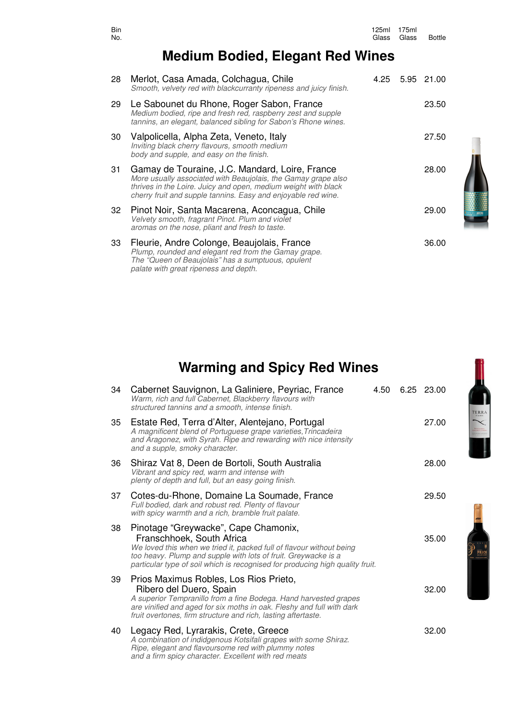| Bin<br>No. |                                                                                                                                                                                                                                                    | 125ml<br>Glass | 175ml<br>Glass | <b>Bottle</b> |
|------------|----------------------------------------------------------------------------------------------------------------------------------------------------------------------------------------------------------------------------------------------------|----------------|----------------|---------------|
|            | <b>Medium Bodied, Elegant Red Wines</b>                                                                                                                                                                                                            |                |                |               |
| 28         | Merlot, Casa Amada, Colchagua, Chile<br>Smooth, velvety red with blackcurranty ripeness and juicy finish.                                                                                                                                          | 4.25           | 5.95           | 21.00         |
| 29.        | Le Sabounet du Rhone, Roger Sabon, France<br>Medium bodied, ripe and fresh red, raspberry zest and supple<br>tannins, an elegant, balanced sibling for Sabon's Rhone wines.                                                                        |                |                | 23.50         |
| 30         | Valpolicella, Alpha Zeta, Veneto, Italy<br>Inviting black cherry flavours, smooth medium<br>body and supple, and easy on the finish.                                                                                                               |                |                | 27.50         |
| 31         | Gamay de Touraine, J.C. Mandard, Loire, France<br>More usually associated with Beaujolais, the Gamay grape also<br>thrives in the Loire. Juicy and open, medium weight with black<br>cherry fruit and supple tannins. Easy and enjoyable red wine. |                |                | 28.00         |
| 32         | Pinot Noir, Santa Macarena, Aconcagua, Chile<br>Velvety smooth, fragrant Pinot. Plum and violet<br>aromas on the nose, pliant and fresh to taste.                                                                                                  |                |                | 29.00         |
| 33         | Fleurie, Andre Colonge, Beaujolais, France<br>Plump, rounded and elegant red from the Gamay grape.<br>The "Queen of Beaujolais" has a sumptuous, opulent                                                                                           |                |                | 36.00         |

### **Warming and Spicy Red Wines**

palate with great ripeness and depth.

| 34 | Cabernet Sauvignon, La Galiniere, Peyriac, France<br>Warm, rich and full Cabernet, Blackberry flavours with<br>structured tannins and a smooth, intense finish.                                                                                                                              | 4.50 | 6.25 23.00 |
|----|----------------------------------------------------------------------------------------------------------------------------------------------------------------------------------------------------------------------------------------------------------------------------------------------|------|------------|
| 35 | Estate Red, Terra d'Alter, Alentejano, Portugal<br>A magnificent blend of Portuguese grape varieties, Trincadeira<br>and Aragonez, with Syrah. Ripe and rewarding with nice intensity<br>and a supple, smoky character.                                                                      |      | 27.00      |
| 36 | Shiraz Vat 8, Deen de Bortoli, South Australia<br>Vibrant and spicy red, warm and intense with<br>plenty of depth and full, but an easy going finish.                                                                                                                                        |      | 28.00      |
| 37 | Cotes-du-Rhone, Domaine La Soumade, France<br>Full bodied, dark and robust red. Plenty of flavour<br>with spicy warmth and a rich, bramble fruit palate.                                                                                                                                     |      | 29.50      |
| 38 | Pinotage "Greywacke", Cape Chamonix,<br>Franschhoek, South Africa<br>We loved this when we tried it, packed full of flavour without being<br>too heavy. Plump and supple with lots of fruit. Greywacke is a<br>particular type of soil which is recognised for producing high quality fruit. |      | 35.00      |
| 39 | Prios Maximus Robles, Los Rios Prieto,<br>Ribero del Duero, Spain<br>A superior Tempranillo from a fine Bodega. Hand harvested grapes<br>are vinified and aged for six moths in oak. Fleshy and full with dark<br>fruit overtones, firm structure and rich, lasting aftertaste.              |      | 32.00      |
| 40 | Legacy Red, Lyrarakis, Crete, Greece<br>A combination of indidgenous Kotsifali grapes with some Shiraz.<br>Ripe, elegant and flavoursome red with plummy notes<br>and a firm spicy character. Excellent with red meats                                                                       |      | 32.00      |

**TERRA** 

 $\begin{picture}(20,20) \put(0,0){\line(1,0){155}} \put(15,0){\line(1,0){155}} \put(15,0){\line(1,0){155}} \put(15,0){\line(1,0){155}} \put(15,0){\line(1,0){155}} \put(15,0){\line(1,0){155}} \put(15,0){\line(1,0){155}} \put(15,0){\line(1,0){155}} \put(15,0){\line(1,0){155}} \put(15,0){\line(1,0){155}} \put(15,0){\line(1,0){155}} \$